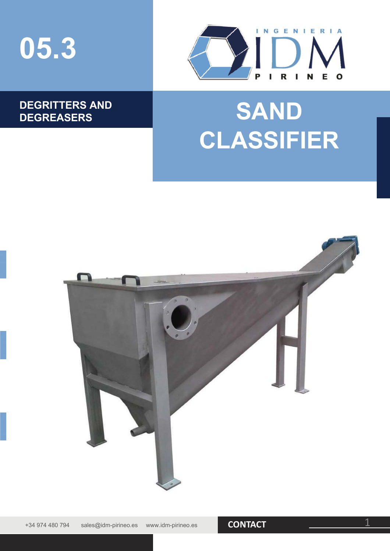



### **DEGRITTERS AND**

# DEGRITTERS AND **SAND CLASSIFIER**

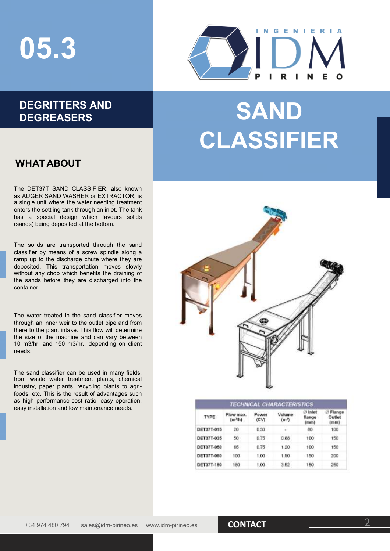## **05.3**

### **DEGRITTERS AND**



## DEGRITTERS AND **SAND CLASSIFIER**

#### **WHAT ABOUT**

The DET37T SAND CLASSIFIER, also known as AUGER SAND WASHER or EXTRACTOR, is a single unit where the water needing treatment enters the settling tank through an inlet. The tank has a special design which favours solids (sands) being deposited at the bottom.

The solids are transported through the sand classifier by means of a screw spindle along a ramp up to the discharge chute where they are deposited. This transportation moves slowly without any chop which benefits the draining of the sands before they are discharged into the container.

The water treated in the sand classifier moves through an inner weir to the outlet pipe and from there to the plant intake. This flow will determine the size of the machine and can vary between 10 m3/hr. and 150 m3/hr., depending on client needs.

The sand classifier can be used in many fields, from waste water treatment plants, chemical industry, paper plants, recycling plants to agrifoods, etc. This is the result of advantages such as high performance-cost ratio, easy operation, easy installation and low maintenance needs.



| <b>TECHNICAL CHARACTERISTICS</b> |                                 |               |                             |                           |                                      |  |  |  |  |  |
|----------------------------------|---------------------------------|---------------|-----------------------------|---------------------------|--------------------------------------|--|--|--|--|--|
| TYPE                             | Flow max.<br>(m <sup>3</sup> )h | Power<br>(CVI | Volume<br>(m <sup>3</sup> ) | ⊘ Inlet<br>flance<br>[mm] | Flange<br>ø<br>Outlet<br>(mm)<br>100 |  |  |  |  |  |
| DET37T-015                       | 20                              | 0.33          | w.                          | 80                        |                                      |  |  |  |  |  |
| DET37T-035                       | 50                              | 0.75          | 0.88                        | 100                       | 150                                  |  |  |  |  |  |
| DET37T-050                       | 65                              | 0.75          | 1.20                        | 100                       | 150                                  |  |  |  |  |  |
| DET37T-080                       | 100                             | 1.00          | 1.90                        | 150                       | 200                                  |  |  |  |  |  |
| DET37T-150                       | 180                             | 1.00.         | 3.52                        | 150                       | 250                                  |  |  |  |  |  |